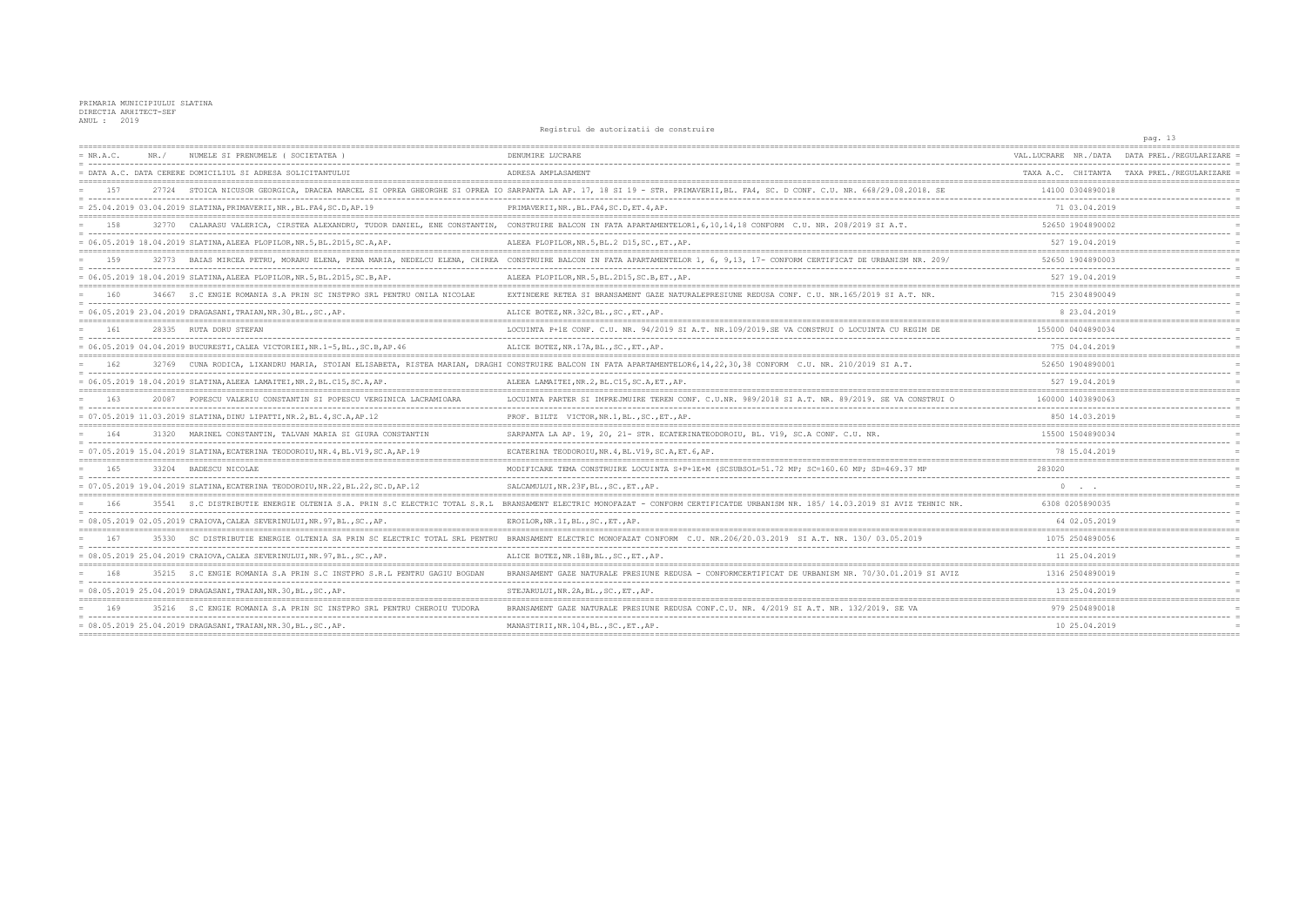|             |       |                                                                                 |                                                                                                                                                                              |                                                  | pag. 13                                    |
|-------------|-------|---------------------------------------------------------------------------------|------------------------------------------------------------------------------------------------------------------------------------------------------------------------------|--------------------------------------------------|--------------------------------------------|
| $= NR.A.C.$ | NR. / | NUMELE SI PRENUMELE ( SOCIETATEA                                                | DENUMIRE LUCRARE                                                                                                                                                             | VAL.LUCRARE NR./DATA                             | DATA PREL./REGULARIZARE                    |
|             |       | = DATA A.C. DATA CERERE DOMICILIUL SI ADRESA SOLICITANTULUI                     | ADRESA AMPLASAMENT                                                                                                                                                           |                                                  | TAXA A.C. CHITANTA TAXA PREL./REGULARIZARE |
| 157         |       |                                                                                 | 27724 STOICA NICUSOR GEORGICA, DRACEA MARCEL SI OPREA GHEORGHE SI OPREA IO SARPANTA LA AP. 17, 18 SI 19 - STR. PRIMAVERII, BL. FA4, SC. D CONF. C.U. NR. 668/29.08.2018. SE  | 14100 0304890018<br>---------------------------- |                                            |
|             |       | = 25.04.2019 03.04.2019 SLATINA, PRIMAVERII, NR., BL.FA4, SC.D, AP.19           | PRIMAVERII, NR., BL. FA4, SC. D, ET. 4, AP.                                                                                                                                  | 71 03.04.2019                                    |                                            |
| 158         | 32770 |                                                                                 | CALARASU VALERICA, CIRSTEA ALEXANDRU, TUDOR DANIEL, ENE CONSTANTIN, CONSTRUIRE BALCON IN FATA APARTAMENTELOR1,6,10,14,18 CONFORM C.U. NR. 208/2019 SI A.T.                   | 52650 1904890002                                 |                                            |
|             |       | = 06.05.2019 18.04.2019 SLATINA, ALEEA PLOPILOR, NR.5, BL.2D15, SC.A, AP.       | ALEEA PLOPILOR, NR. 5, BL. 2 D15, SC., ET., AP.                                                                                                                              | 527 19.04.2019                                   |                                            |
| 159         |       |                                                                                 | 32773 BAIAS MIRCEA PETRU, MORARU ELENA, PENA MARIA, NEDELCU ELENA, CHIREA CONSTRUIRE BALCON IN FATA APARTAMENTELOR 1, 6, 9,13, 17- CONFORM CERTIFICAT DE URBANISM NR. 209/   | 52650 1904890003                                 |                                            |
|             |       | = 06.05.2019 18.04.2019 SLATINA, ALEEA PLOPILOR, NR.5, BL.2D15, SC.B, AP.       | ALEEA PLOPILOR, NR.5, BL.2D15, SC.B, ET., AP.                                                                                                                                | 527 19.04.2019                                   |                                            |
| 160         |       | 34667 S.C ENGIE ROMANIA S.A PRIN SC INSTPRO SRL PENTRU ONILA NICOLAE            | EXTINDERE RETEA SI BRANSAMENT GAZE NATURALEPRESIUNE REDUSA CONF. C.U. NR.165/2019 SI A.T. NR.                                                                                | 715 2304890049                                   |                                            |
|             |       | = 06.05.2019 23.04.2019 DRAGASANI, TRAIAN, NR.30, BL., SC., AP.                 | ALICE BOTEZ, NR. 32C, BL., SC., ET., AP.                                                                                                                                     | 8 23.04.2019                                     |                                            |
| 161         |       | 28335 RUTA DORU STEFAN                                                          | LOCUINTA P+1E CONF. C.U. NR. 94/2019 SI A.T. NR.109/2019.SE VA CONSTRUI O LOCUINTA CU REGIM DE                                                                               | 155000 0404890034                                |                                            |
|             |       | = 06.05.2019 04.04.2019 BUCURESTI, CALEA VICTORIEI, NR.1-5, BL., SC.B, AP.46    | ALICE BOTEZ, NR.17A, BL., SC., ET., AP.                                                                                                                                      | 775 04.04.2019                                   |                                            |
| 162         |       |                                                                                 | 32769 CUNA RODICA, LIXANDRU MARIA, STOIAN ELISABETA, RISTEA MARIAN, DRAGHI CONSTRUIRE BALCON IN FATA APARTAMENTELOR6, 14, 22, 30, 38 CONFORM C.U. NR. 210/2019 SI A.T.       | 52650 1904890001                                 |                                            |
|             |       | = 06.05.2019 18.04.2019 SLATINA, ALEEA LAMAITEI, NR.2, BL.C15, SC.A, AP.        | ALEEA LAMAITEI, NR.2, BL.C15, SC.A, ET., AP.                                                                                                                                 | 527 19.04.2019                                   |                                            |
| 163         | 20087 | POPESCU VALERIU CONSTANTIN SI POPESCU VERGINICA LACRAMIOARA                     | LOCUINTA PARTER SI IMPREJMUIRE TEREN CONF. C.U.NR. 989/2018 SI A.T. NR. 89/2019. SE VA CONSTRUI O                                                                            | 160000 1403890063                                |                                            |
|             |       | = 07.05.2019 11.03.2019 SLATINA, DINU LIPATTI, NR.2, BL.4, SC.A, AP.12          | PROF. BILTZ VICTOR, NR. 1, BL., SC., ET., AP.                                                                                                                                | 850 14.03.2019                                   |                                            |
| 164         | 31320 | MARINEL CONSTANTIN, TALVAN MARIA SI GIURA CONSTANTIN                            | SARPANTA LA AP. 19, 20, 21- STR. ECATERINATEODOROIU, BL. V19, SC.A CONF. C.U. NR.                                                                                            | 15500 1504890034                                 |                                            |
|             |       | = 07.05.2019 15.04.2019 SLATINA, ECATERINA TEODOROIU, NR.4, BL.V19, SC.A, AP.19 | ECATERINA TEODOROIU, NR. 4, BL. V19, SC. A, ET. 6, AP.                                                                                                                       | 78 15.04.2019                                    |                                            |
| 165         |       | 33204 BADESCU NICOLAE                                                           | MODIFICARE TEMA CONSTRUIRE LOCUINTA S+P+1E+M (SCSUBSOL=51.72 MP; SC=160.60 MP; SD=469.37 MP                                                                                  | 283020                                           |                                            |
|             |       | = 07.05.2019 19.04.2019 SLATINA.ECATERINA TEODOROIU.NR.22.BL.22.SC.D.AP.12      | SALCAMULUI, NR.23F, BL., SC., ET., AP.                                                                                                                                       | $\Omega$                                         |                                            |
| 166         |       |                                                                                 | 35541 S.C DISTRIBUTIE ENERGIE OLTENIA S.A. PRIN S.C ELECTRIC TOTAL S.R.L BRANSAMENT ELECTRIC MONOFAZAT - CONFORM CERTIFICATDE URBANISM NR. 185/14.03.2019 SI AVIZ TEHNIC NR. | 6308 0205890035                                  |                                            |
|             |       | = 08.05.2019 02.05.2019 CRAIOVA, CALEA SEVERINULUI, NR.97, BL., SC., AP.        | EROILOR, NR.1I, BL., SC., ET., AP.                                                                                                                                           | 64 02.05.2019                                    |                                            |
| 167         |       |                                                                                 | 35330 SC DISTRIBUTIE ENERGIE OLTENIA SA PRIN SC ELECTRIC TOTAL SRL PENTRU BRANSAMENT ELECTRIC MONOFAZAT CONFORM C.U. NR.206/20.03.2019 SI A.T. NR. 130/03.05.2019            | 1075 2504890056                                  |                                            |
|             |       | = 08.05.2019 25.04.2019 CRAIOVA, CALEA SEVERINULUI, NR.97, BL., SC., AP.        | ALICE BOTEZ, NR.18B, BL., SC., ET., AP.                                                                                                                                      | 11 25.04.2019                                    |                                            |
| 168         |       | 35215 S.C ENGIE ROMANIA S.A PRIN S.C INSTPRO S.R.L PENTRU GAGIU BOGDAN          | BRANSAMENT GAZE NATURALE PRESIUNE REDUSA - CONFORMCERTIFICAT DE URBANISM NR. 70/30.01.2019 SI AVIZ                                                                           | 1316 2504890019                                  |                                            |
|             |       | = 08.05.2019 25.04.2019 DRAGASANI,TRAIAN,NR.30,BL.,SC.,AP.                      | STEJARULUI, NR. 2A, BL., SC., ET., AP.                                                                                                                                       | 13 25.04.2019                                    |                                            |
| 169         | 35216 | S.C ENGIE ROMANIA S.A PRIN SC INSTPRO SRL PENTRU CHEROIU TUDORA                 | BRANSAMENT GAZE NATURALE PRESIUNE REDUSA CONF.C.U. NR. 4/2019 SI A.T. NR. 132/2019. SE VA                                                                                    | 979 2504890018                                   |                                            |
|             |       | = 08.05.2019 25.04.2019 DRAGASANI, TRAIAN, NR.30, BL., SC., AP.                 | MANASTIRII, NR.104, BL., SC., ET., AP.                                                                                                                                       | 10 25.04.2019                                    |                                            |
|             |       |                                                                                 |                                                                                                                                                                              |                                                  |                                            |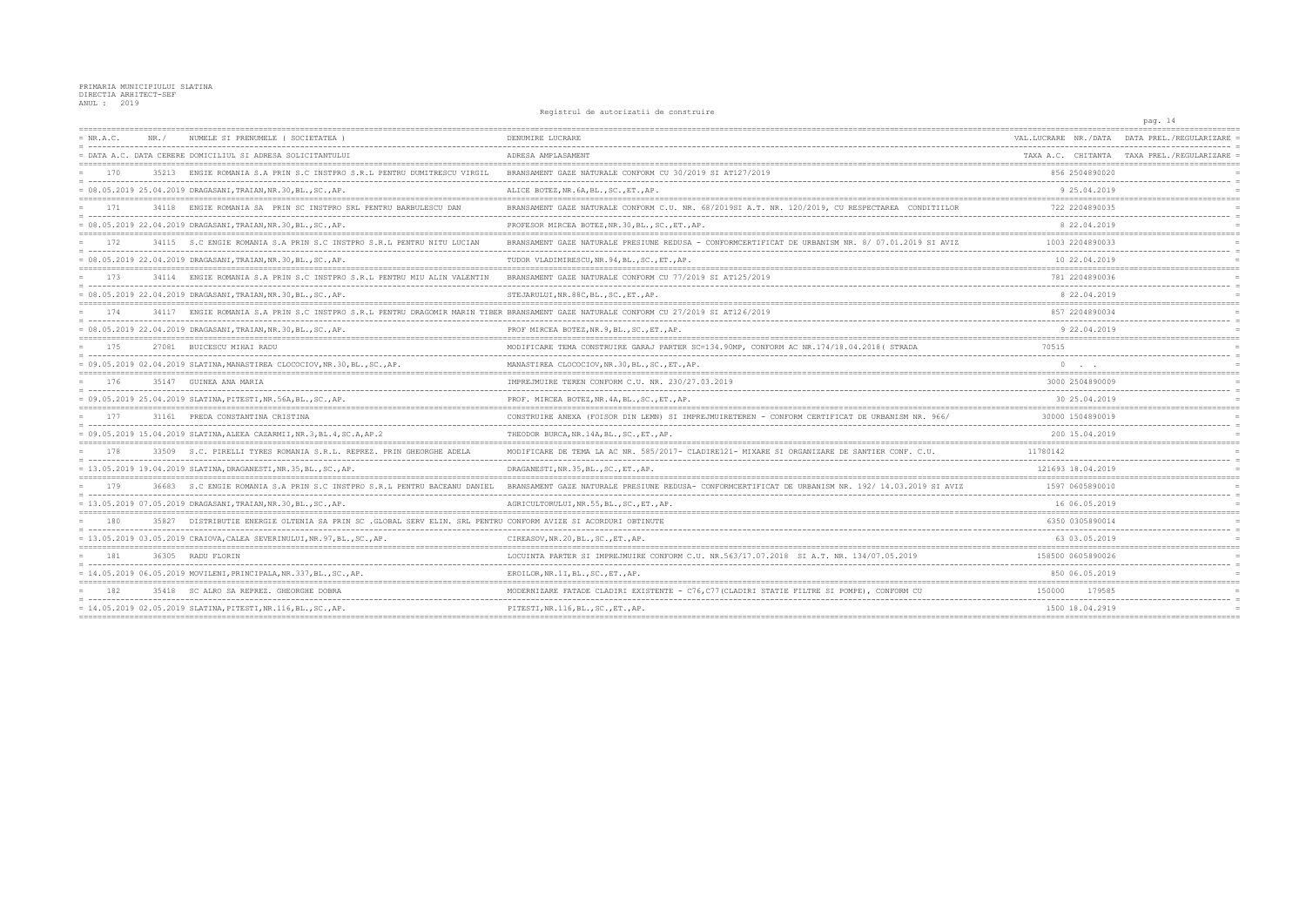|             |       |                                                                                                                                      | ncylclul uc uucolluucil uc comoclull                                                                |                      | pag. 14                                    |
|-------------|-------|--------------------------------------------------------------------------------------------------------------------------------------|-----------------------------------------------------------------------------------------------------|----------------------|--------------------------------------------|
| $= NR.A.C.$ | NR. / | NUMELE SI PRENUMELE ( SOCIETATEA )                                                                                                   | DENUMIRE LUCRARE                                                                                    | VAL.LUCRARE NR./DATA | DATA PREL./REGULARIZARE                    |
|             |       | = DATA A.C. DATA CERERE DOMICILIUL SI ADRESA SOLICITANTULUI                                                                          | ADRESA AMPLASAMENT                                                                                  |                      | TAXA A.C. CHITANTA TAXA PREL./REGULARIZARE |
| 170         | 35213 | ENGIE ROMANIA S.A PRIN S.C INSTPRO S.R.L PENTRU DUMITRESCU VIRGIL                                                                    | BRANSAMENT GAZE NATURALE CONFORM CU 30/2019 SI AT127/2019                                           | 856 2504890020       |                                            |
|             |       | = 08.05.2019 25.04.2019 DRAGASANI, TRAIAN, NR.30, BL., SC., AP.                                                                      | ALICE BOTEZ, NR. 6A, BL., SC., ET., AP.                                                             | 9 25.04.2019         |                                            |
| 171         |       | 34118 ENGIE ROMANIA SA PRIN SC INSTPRO SRL PENTRU BARBULESCU DAN                                                                     | BRANSAMENT GAZE NATURALE CONFORM C.U. NR. 68/2019SI A.T. NR. 120/2019, CU RESPECTAREA CONDITIILOR   | 722 2204890035       |                                            |
|             |       | = 08.05.2019 22.04.2019 DRAGASANI, TRAIAN, NR.30, BL., SC., AP.                                                                      | PROFESOR MIRCEA BOTEZ, NR. 30, BL., SC., ET., AP.                                                   | 8 22,04.2019         |                                            |
| 172         |       | 34115 S.C ENGIE ROMANIA S.A PRIN S.C INSTPRO S.R.L PENTRU NITU LUCIAN                                                                | BRANSAMENT GAZE NATURALE PRESIUNE REDUSA - CONFORMCERTIFICAT DE URBANISM NR. 8/ 07.01.2019 SI AVIZ  | 1003 2204890033      |                                            |
|             |       | = 08.05.2019 22.04.2019 DRAGASANI,TRAIAN,NR.30,BL.,SC.,AP.                                                                           | TUDOR VLADIMIRESCU, NR. 94, BL., SC., ET., AP.                                                      | 10 22.04.2019        |                                            |
| 173         |       | 34114 ENGIE ROMANIA S.A PRIN S.C INSTPRO S.R.L PENTRU MIU ALIN VALENTIN                                                              | BRANSAMENT GAZE NATURALE CONFORM CU 77/2019 SI AT125/2019                                           | 781 2204890036       |                                            |
|             |       | = 08.05.2019 22.04.2019 DRAGASANI, TRAIAN, NR.30, BL., SC., AP                                                                       | STEJARULUI, NR. 88C, BL., SC., ET., AP.                                                             | 8 22.04.2019         |                                            |
| 174         |       | 34117 ENGIE ROMANIA S.A PRIN S.C INSTPRO S.R.L PENTRU DRAGOMIR MARIN TIBER BRANSAMENT GAZE NATURALE CONFORM CU 27/2019 SI AT126/2019 |                                                                                                     | 857 2204890034       |                                            |
|             |       | = 08.05.2019 22.04.2019 DRAGASANI,TRAIAN,NR.30,BL.,SC.,AP.                                                                           | PROF MIRCEA BOTEZ, NR. 9, BL., SC., ET., AP.                                                        | 9 22.04.2019         |                                            |
| 175         |       | 27081 BUICESCU MIHAI RADU                                                                                                            | MODIFICARE TEMA CONSTRUIRE GARAJ PARTER SC=134.90MP, CONFORM AC NR.174/18.04.2018 ( STRADA          | 70515                |                                            |
|             |       | = 09.05.2019 02.04.2019 SLATINA, MANASTIREA CLOCOCIOV, NR.30, BL., SC., AP.                                                          | MANASTIREA CLOCOCIOV, NR.30, BL., SC., ET., AP.                                                     |                      |                                            |
| 176         |       | 35147 GUINEA ANA MARIA                                                                                                               | IMPREJMUIRE TEREN CONFORM C.U. NR. 230/27.03.2019                                                   | 3000 2504890009      |                                            |
|             |       | = 09.05.2019 25.04.2019 SLATINA, PITESTI, NR.56A, BL., SC., AP.                                                                      | PROF. MIRCEA BOTEZ, NR. 4A, BL., SC., ET., AP.                                                      | 30 25.04.2019        |                                            |
| 177         |       | 31161 PREDA CONSTANTINA CRISTINA                                                                                                     | CONSTRUIRE ANEXA (FOISOR DIN LEMN) SI IMPREJMUIRETEREN - CONFORM CERTIFICAT DE URBANISM NR. 966/    | 30000 1504890019     |                                            |
|             |       | = 09.05.2019 15.04.2019 SLATINA, ALEEA CAZARMII, NR.3, BL.4, SC.A, AP.2                                                              | THEODOR BURCA, NR. 14A, BL., SC., ET., AP.                                                          | 200 15.04.2019       |                                            |
| 178         |       | 33509 S.C. PIRELLI TYRES ROMANIA S.R.L. REPREZ. PRIN GHEORGHE ADELA                                                                  | MODIFICARE DE TEMA LA AC NR. 585/2017- CLADIRE121- MIXARE SI ORGANIZARE DE SANTIER CONF. C.U.       | 11780142             |                                            |
|             |       | = 13.05.2019 19.04.2019 SLATINA, DRAGANESTI, NR.35, BL., SC., AP.                                                                    | DRAGANESTI, NR. 35, BL., SC., ET., AP.                                                              | 121693 18.04.2019    |                                            |
| 179         |       | 36683 S.C ENGIE ROMANIA S.A PRIN S.C INSTPRO S.R.L PENTRU BACEANU DANIEL                                                             | BRANSAMENT GAZE NATURALE PRESIUNE REDUSA- CONFORMCERTIFICAT DE URBANISM NR. 192/ 14.03.2019 SI AVIZ | 1597 0605890010      |                                            |
|             |       | = 13.05.2019 07.05.2019 DRAGASANI, TRAIAN, NR.30, BL., SC., AP.                                                                      | AGRICULTORULUI, NR.55, BL., SC., ET., AP.                                                           | 16 06.05.2019        |                                            |
| 180         | 35827 | DISTRIBUTIE ENERGIE OLTENIA SA PRIN SC. GLOBAL SERV ELIN. SRL PENTRU CONFORM AVIZE SI ACORDURI OBTINUTE                              |                                                                                                     | 6350 0305890014      |                                            |
|             |       | = 13.05.2019 03.05.2019 CRAIOVA, CALEA SEVERINULUI, NR.97, BL., SC., AP.                                                             | CIREASOV, NR. 20, BL., SC., ET., AP.                                                                | 63 03.05.2019        |                                            |
| 181         |       | 36305 RADU FLORIN                                                                                                                    | LOCUINTA PARTER SI IMPREJMUIRE CONFORM C.U. NR.563/17.07.2018 SI A.T. NR. 134/07.05.2019            | 158500 0605890026    |                                            |
|             |       | = 14.05.2019 06.05.2019 MOVILENI, PRINCIPALA, NR.337, BL., SC., AP.                                                                  | EROILOR, NR.1I, BL., SC., ET., AP.                                                                  | 850 06.05.2019       |                                            |
|             |       | 35418 SC ALRO SA REPREZ. GHEORGHE DOBRA                                                                                              | MODERNIZARE FATADE CLADIRI EXISTENTE - C76,C77(CLADIRI STATIE FILTRE SI POMPE), CONFORM CU          | 150000<br>179585     |                                            |
|             |       | = 14.05.2019 02.05.2019 SLATINA, PITESTI, NR.116, BL., SC., AP.                                                                      | PITESTI, NR.116, BL., SC., ET., AP.                                                                 | 1500 18.04.2919      |                                            |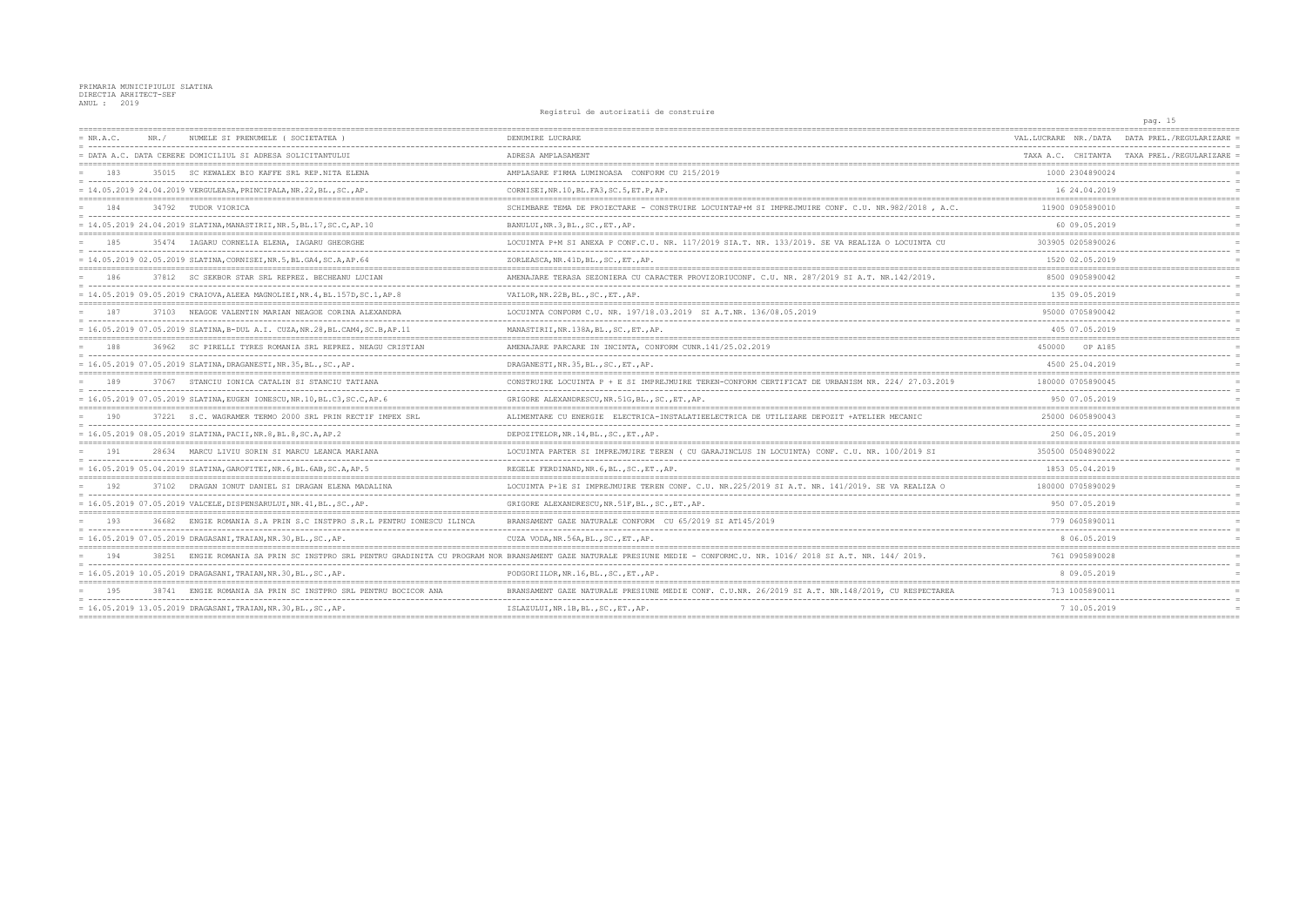|             |       |                                                                               | nographed do ducorreducte do construito                                                           |                                          | pag. 15                                    |
|-------------|-------|-------------------------------------------------------------------------------|---------------------------------------------------------------------------------------------------|------------------------------------------|--------------------------------------------|
| $= NR.A.C.$ | NR. / | NUMELE SI PRENUMELE (SOCIETATEA)                                              | DENUMIRE LUCRARE                                                                                  | VAL.LUCRARE NR./DATA                     | DATA PREL./REGULARIZARE                    |
|             |       | = DATA A.C. DATA CERERE DOMICILIUL SI ADRESA SOLICITANTULUI                   | ADRESA AMPLASAMENT                                                                                |                                          | TAXA A.C. CHITANTA TAXA PREL./REGULARIZARE |
| 183         |       | 35015 SC KEWALEX BIO KAFFE SRL REP.NITA ELENA                                 | AMPLASARE FIRMA LUMINOASA CONFORM CU 215/2019                                                     | 1000 2304890024                          |                                            |
|             |       | = 14.05.2019 24.04.2019 VERGULEASA, PRINCIPALA, NR.22, BL., SC., AP.          | CORNISEI, NR. 10, BL. FA3, SC. 5, ET. P, AP.                                                      | 16 24.04.2019                            |                                            |
| 184         |       | 34792 TUDOR VIORICA                                                           | SCHIMBARE TEMA DE PROIECTARE - CONSTRUIRE LOCUINTAP+M SI IMPREJMUIRE CONF. C.U. NR.982/2018, A.C. | 11900 0905890010                         |                                            |
|             |       | = 14.05.2019 24.04.2019 SLATINA, MANASTIRII, NR.5, BL.17, SC.C, AP.10         | BANULUI, NR.3, BL., SC., ET., AP.                                                                 | 60 09.05.2019                            |                                            |
| 185         |       | 35474 IAGARU CORNELIA ELENA, IAGARU GHEORGHE                                  | LOCUINTA P+M SI ANEXA P CONF.C.U. NR. 117/2019 SIA.T. NR. 133/2019. SE VA REALIZA O LOCUINTA CU   | 303905 0205890026                        |                                            |
|             |       | = 14.05.2019 02.05.2019 SLATINA, CORNISEI, NR.5, BL.GA4, SC.A, AP.64          | ZORLEASCA, NR. 41D, BL., SC., ET., AP.                                                            | 1520 02.05.2019                          |                                            |
| 186         |       | 37812 SC SEKBOR STAR SRL REPREZ. BECHEANU LUCIAN                              | AMENAJARE TERASA SEZONIERA CU CARACTER PROVIZORIUCONF. C.U. NR. 287/2019 SI A.T. NR.142/2019.     | 8500 0905890042                          |                                            |
|             |       | = 14.05.2019 09.05.2019 CRAIOVA, ALEEA MAGNOLIEI, NR.4, BL.157D, SC.1, AP.8   | VAILOR, NR. 22B, BL., SC., ET., AP.                                                               | 135 09.05.2019                           |                                            |
| 187         |       | 37103 NEAGOE VALENTIN MARIAN NEAGOE CORINA ALEXANDRA                          | LOCUINTA CONFORM C.U. NR. 197/18.03.2019 SI A.T.NR. 136/08.05.2019                                | 95000 0705890042                         |                                            |
|             |       | = 16.05.2019 07.05.2019 SLATINA, B-DUL A.I. CUZA, NR.28, BL.CAM4, SC.B, AP.11 | MANASTIRII, NR.138A, BL., SC., ET., AP.                                                           | 405 07.05.2019                           |                                            |
| 188         |       | 36962 SC PIRELLI TYRES ROMANIA SRL REPREZ. NEAGU CRISTIAN                     | AMENAJARE PARCARE IN INCINTA, CONFORM CUNR.141/25.02.2019                                         | 450000<br>OP A185                        |                                            |
|             |       | $= 16.05.2019 07.05.2019 SLATINA, DRAGANESTI, NR.35, BL., SC., AP.$           | DRAGANESTI, NR. 35, BL., SC., ET., AP.                                                            | 4500 25.04.2019                          |                                            |
| 189         | 37067 | STANCIU IONICA CATALIN SI STANCIU TATIANA                                     | CONSTRUIRE LOCUINTA P + E SI IMPREJMUIRE TEREN-CONFORM CERTIFICAT DE URBANISM NR. 224/ 27.03.2019 | 180000 0705890045                        |                                            |
|             |       | = 16.05.2019 07.05.2019 SLATINA, EUGEN IONESCU, NR.10, BL.C3, SC.C, AP.6      | GRIGORE ALEXANDRESCU, NR.51G, BL., SC., ET., AP.                                                  | 950 07.05.2019                           |                                            |
|             |       | 37221 S.C. WAGRAMER TERMO 2000 SRL PRIN RECTIF IMPEX SRL                      | ALIMENTARE CU ENERGIE ELECTRICA-INSTALATIEELECTRICA DE UTILIZARE DEPOZIT +ATELIER                 | 25000 0605890043                         |                                            |
|             |       | $= 16.05.2019 08.05.2019 SLATINA, PACII, NR.8, BL.8, SC.A, AP.2$              | DEPOZITELOR, NR.14, BL., SC., ET., AP.                                                            | 250 06.05.2019                           |                                            |
| 191         |       | 28634 MARCU LIVIU SORIN SI MARCU LEANCA MARIANA                               | LOCUINTA PARTER SI IMPREJMUIRE TEREN ( CU GARAJINCLUS IN LOCUINTA) CONF. C.U. NR. 100/2019 SI     | 350500 0504890022                        |                                            |
|             |       | $= 16.05.2019 05.04.2019 SLATINA, GAROFITEI, NR.6, BL.6AB, SC.A, AP.5$        | REGELE FERDINAND, NR. 6, BL., SC., ET., AP.                                                       | 1853 05.04.2019                          |                                            |
| 192         |       | 37102 DRAGAN IONUT DANIEL SI DRAGAN ELENA MADALINA                            | LOCUINTA P+1E SI IMPREJMUIRE TEREN CONF. C.U. NR.225/2019 SI A.T. NR. 141/2019. SE VA REALIZA O   | 180000 0705890029                        |                                            |
|             |       | = 16.05.2019 07.05.2019 VALCELE, DISPENSARULUI, NR.41, BL., SC., AP.          | GRIGORE ALEXANDRESCU, NR.51F, BL., SC., ET., AP.                                                  | 950 07.05.2019                           |                                            |
| 193         |       | 36682 ENGIE ROMANIA S.A PRIN S.C INSTPRO S.R.L PENTRU IONESCU ILINCA          | BRANSAMENT GAZE NATURALE CONFORM CU 65/2019 SI AT145/2019                                         | 779 0605890011                           |                                            |
|             |       | = 16.05.2019 07.05.2019 DRAGASANI,TRAIAN,NR.30,BL.,SC.,AP.                    | CUZA VODA, NR.56A, BL., SC., ET., AP.                                                             | 8 06.05.2019                             |                                            |
| 194         | 38251 | ENGIE ROMANIA SA PRIN SC INSTPRO SRL PENTRU GRADINITA CU PROGRAM              | NOR BRANSAMENT GAZE NATURALE PRESIUNE MEDIE - CONFORMC.U. NR. 1016/2018 SI A.T. NR. 144/2019.     | 761 0905890028                           |                                            |
|             |       | = 16.05.2019 10.05.2019 DRAGASANI,TRAIAN,NR.30,BL.,SC.,AP.                    | PODGORIILOR, NR.16, BL., SC., ET., AP.                                                            | 8 09.05.2019                             |                                            |
| 195         | 38741 | ENGIE ROMANIA SA PRIN SC INSTPRO SRL PENTRU BOCICOR ANA                       | BRANSAMENT GAZE NATURALE PRESIUNE MEDIE CONF. C.U.NR. 26/2019 SI A.T. NR.148/2019,                | 713 1005890011                           |                                            |
|             |       | $= 16.05.2019 13.05.2019 DRAGASANI, TRAIAN, NR.30, BL., SC., AP.$             | ISLAZULUI, NR.1B, BL., SC., ET., AP.                                                              | 7 10.05.2019<br>------------------------ |                                            |
|             |       |                                                                               |                                                                                                   |                                          |                                            |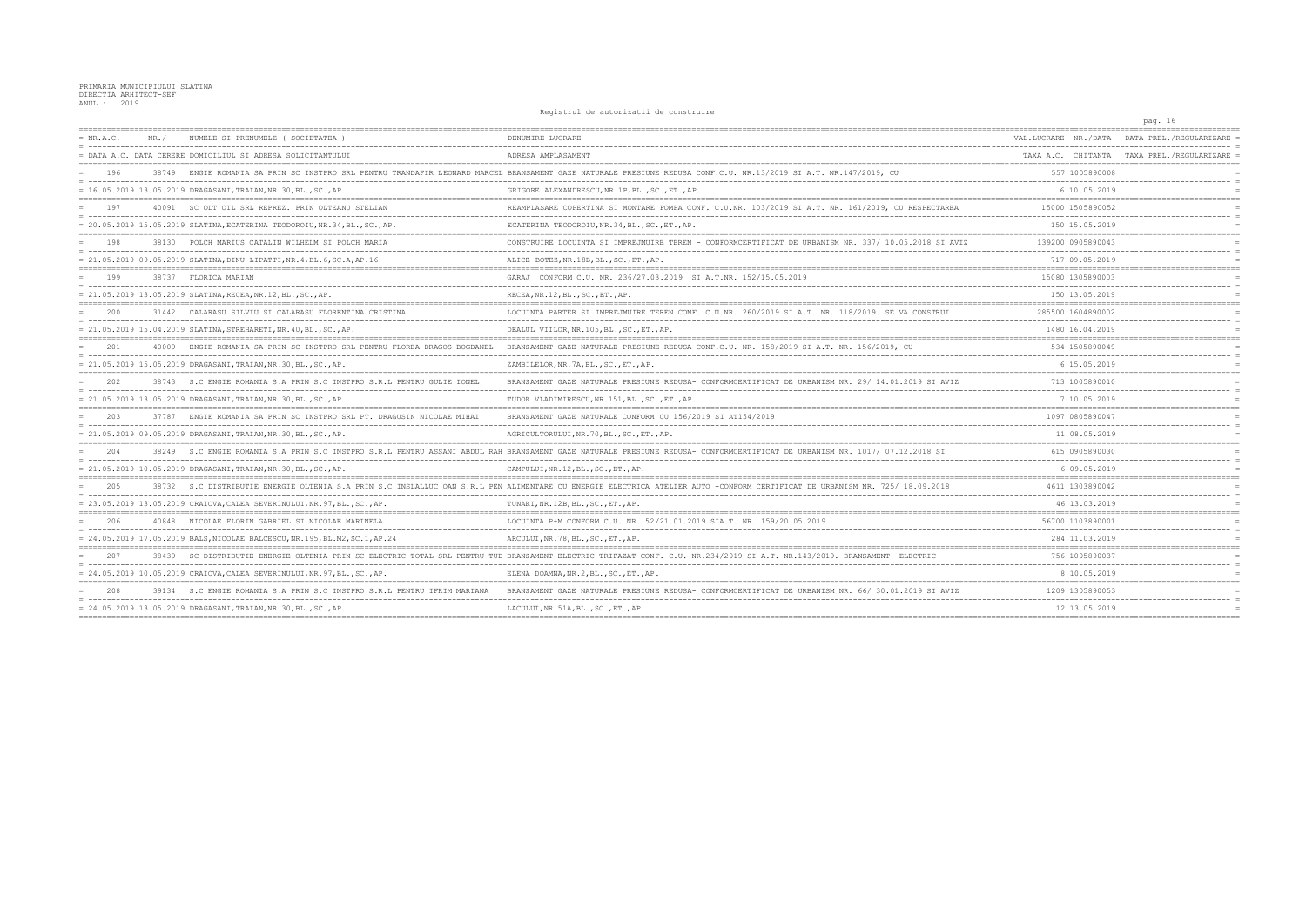|             |       |                                                                             | nographem do ducorredori do conservario                                                                                                                                     |                                                | pag. 16                                    |
|-------------|-------|-----------------------------------------------------------------------------|-----------------------------------------------------------------------------------------------------------------------------------------------------------------------------|------------------------------------------------|--------------------------------------------|
| $= NR.A.C.$ | NR. / | NUMELE SI PRENUMELE (SOCIETATEA                                             | DENUMIRE LUCRARE                                                                                                                                                            | VAL.LUCRARE NR./DATA                           | DATA PREL./REGULARIZARE                    |
|             |       | = DATA A.C. DATA CERERE DOMICILIUL SI ADRESA SOLICITANTULUI                 | ADRESA AMPLASAMENT                                                                                                                                                          |                                                | TAXA A.C. CHITANTA TAXA PREL./REGULARIZARE |
| 196         | 38749 |                                                                             | ENGIE ROMANIA SA PRIN SC INSTPRO SRL PENTRU TRANDAFIR LEONARD MARCEL BRANSAMENT GAZE NATURALE PRESIUNE REDUSA CONF.C.U. NR.13/2019 SI A.T. NR.147/2019, CU                  | 557 1005890008                                 |                                            |
|             |       | $= 16.05.2019 13.05.2019 DRAGASANI, TRAIAN, NR.30, BL., SC., AP.$           | GRIGORE ALEXANDRESCU, NR.1P, BL., SC., ET., AP.                                                                                                                             | 6 10.05.2019                                   |                                            |
| 197         | 40091 | SC OLT OIL SRL REPREZ. PRIN OLTEANU STELIAN                                 | REAMPLASARE COPERTINA SI MONTARE POMPA CONF. C.U.NR. 103/2019 SI A.T. NR. 161/2019, CU RESPECTAREA                                                                          | 15000 1505890052                               |                                            |
|             |       | = 20.05.2019 15.05.2019 SLATINA, ECATERINA TEODOROIU, NR.34, BL., SC., AP.  | ECATERINA TEODOROIU, NR. 34, BL., SC., ET., AP.                                                                                                                             | 150 15.05.2019                                 |                                            |
| 198         |       | 38130 POLCH MARIUS CATALIN WILHELM SI POLCH MARIA                           | CONSTRUIRE LOCUINTA SI IMPREJMUIRE TEREN - CONFORMCERTIFICAT DE URBANISM NR. 337/ 10.05.2018 SI AVIZ                                                                        | 139200 0905890043                              |                                            |
|             |       | = 21.05.2019 09.05.2019 SLATINA, DINU LIPATTI, NR.4, BL.6, SC.A, AP.16      | ALICE BOTEZ, NR.18B, BL., SC., ET., AP.                                                                                                                                     | 717 09.05.2019                                 |                                            |
| 199         |       | 38737 FLORICA MARIAN                                                        | GARAJ CONFORM C.U. NR. 236/27.03.2019 SI A.T.NR. 152/15.05.2019                                                                                                             | 15080 1305890003                               |                                            |
|             |       | = 21.05.2019 13.05.2019 SLATINA, RECEA, NR.12, BL., SC., AP.                | RECEA, NR.12, BL., SC., ET., AP.                                                                                                                                            | 150 13.05.2019                                 |                                            |
| 200         |       | 31442 CALARASU SILVIU SI CALARASU FLORENTINA CRISTINA                       | LOCUINTA PARTER SI IMPREJMUIRE TEREN CONF. C.U.NR. 260/2019 SI A.T. NR. 118/2019. SE VA CONSTRUI                                                                            | 285500 1604890002                              |                                            |
|             |       | = 21.05.2019 15.04.2019 SLATINA, STREHARETI, NR.40, BL., SC., AP.           | DEALUL VIILOR, NR.105, BL., SC., ET., AP.                                                                                                                                   | 1480 16.04.2019                                |                                            |
| 201         | 40009 | ENGIE ROMANIA SA PRIN SC INSTPRO SRL PENTRU FLOREA DRAGOS BOGDANEL          | BRANSAMENT GAZE NATURALE PRESIUNE REDUSA CONF.C.U. NR. 158/2019 SI A.T. NR. 156/2019, CU                                                                                    | 534 1505890049                                 |                                            |
|             |       | $= 21.05.2019 15.05.2019 DRAGASANI, TRAIAN, NR.30, BL., SC., AP.$           | ZAMBILELOR, NR. 7A, BL., SC., ET., AP.                                                                                                                                      | 6 15.05.2019                                   |                                            |
| 202         | 38743 | S.C ENGIE ROMANIA S.A PRIN S.C INSTPRO S.R.L PENTRU GULIE IONEI             | BRANSAMENT GAZE NATURALE PRESIUNE REDUSA- CONFORMCERTIFICAT DE URBANISM NR. 29/ 14.01.2019 SI AVIZ                                                                          | 713 1005890010                                 |                                            |
|             |       | = 21.05.2019 13.05.2019 DRAGASANI, TRAIAN, NR.30, BL., SC., AP.             | TUDOR VLADIMIRESCU, NR.151, BL., SC., ET., AP.                                                                                                                              | 7 10.05.2019                                   |                                            |
|             |       | ENGIE ROMANIA SA PRIN SC INSTPRO SRL PT. DRAGUSIN NICOLAE MIHAL             | BRANSAMENT GAZE NATURALE CONFORM CU 156/2019 SI AT154/2019                                                                                                                  | 1097 0805890047                                |                                            |
|             |       | $= 21.05.2019 09.05.2019 DRAGASANI, TRAIAN, NR.30, BL., SC., AP.$           | AGRICULTORULUI, NR. 70, BL., SC., ET., AP.                                                                                                                                  | 11 08.05.2019                                  |                                            |
| 2.04        | 38249 | S.C ENGIE ROMANIA S.A PRIN S.C INSTPRO S.R.L PENTRU ASSANI ABDUL            | RAH BRANSAMENT GAZE NATURALE PRESIUNE REDUSA- CONFORMCERTIFICAT DE URBANISM NR. 1017/ 07.12.2018 SI                                                                         | 615 0905890030                                 |                                            |
|             |       | $= 21.05.2019 10.05.2019 DRAGASANI, TRAIAN, NR.30, BL., SC., AP.$           | CAMPULUI, NR.12, BL., SC., ET., AP.                                                                                                                                         | 6 09.05.2019                                   |                                            |
| 205         |       |                                                                             | 38732 S.C DISTRIBUTIE ENERGIE OLTENIA S.A PRIN S.C INSLALLUC OAN S.R.L PEN ALIMENTARE CU ENERGIE ELECTRICA ATELIER AUTO -CONFORM CERTIFICAT DE URBANISM NR. 725/ 18.09.2018 | 4611 1303890042                                |                                            |
|             |       | = 23.05.2019 13.05.2019 CRAIOVA, CALEA SEVERINULUI, NR. 97, BL., SC., AP.   | TUNARI, NR.12B, BL., SC., ET., AP.                                                                                                                                          | 46 13.03.2019                                  |                                            |
| 206         |       | 40848 NICOLAE FLORIN GABRIEL SI NICOLAE MARINELA                            | LOCUINTA P+M CONFORM C.U. NR. 52/21.01.2019 SIA.T. NR. 159/20.05.2019                                                                                                       | 56700 1103890001                               |                                            |
|             |       | = 24.05.2019 17.05.2019 BALS, NICOLAE BALCESCU, NR.195, BL.M2, SC.1, AP.24  | ARCULUI, NR.78, BL., SC., ET., AP.                                                                                                                                          | 284 11.03.2019                                 |                                            |
| 207         | 38439 | SC DISTRIBUTIE ENERGIE OLTENIA PRIN SC ELECTRIC TOTAL SRL PENTRU            | TUD BRANSAMENT ELECTRIC TRIFAZAT CONF. C.U. NR.234/2019 SI A.T. NR.143/2019. BRANSAMENT ELECTRIC                                                                            | 756 1005890037                                 |                                            |
|             |       | $= 24.05.2019 10.05.2019$ CRAIOVA, CALEA SEVERINULUI, NR. 97, BL., SC., AP. | ELENA DOAMNA, NR. 2, BL., SC., ET., AP.                                                                                                                                     | 8 10.05.2019                                   |                                            |
| -208        |       | 39134 S.C ENGIE ROMANIA S.A PRIN S.C INSTPRO S.R.L PENTRU IFRIM MARIANA     | BRANSAMENT GAZE NATURALE PRESIUNE REDUSA- CONFORMCERTIFICAT DE URBANISM                                                                                                     | 1209 1305890053                                |                                            |
|             |       | $= 24.05.2019 13.05.2019 DRAGASANI, TRAIAN, NR.30, BL., SC., AP.$           | LACULUI, NR.51A, BL., SC., ET., AP.                                                                                                                                         | 12 13.05.2019<br>.____________________________ |                                            |
|             |       |                                                                             |                                                                                                                                                                             |                                                |                                            |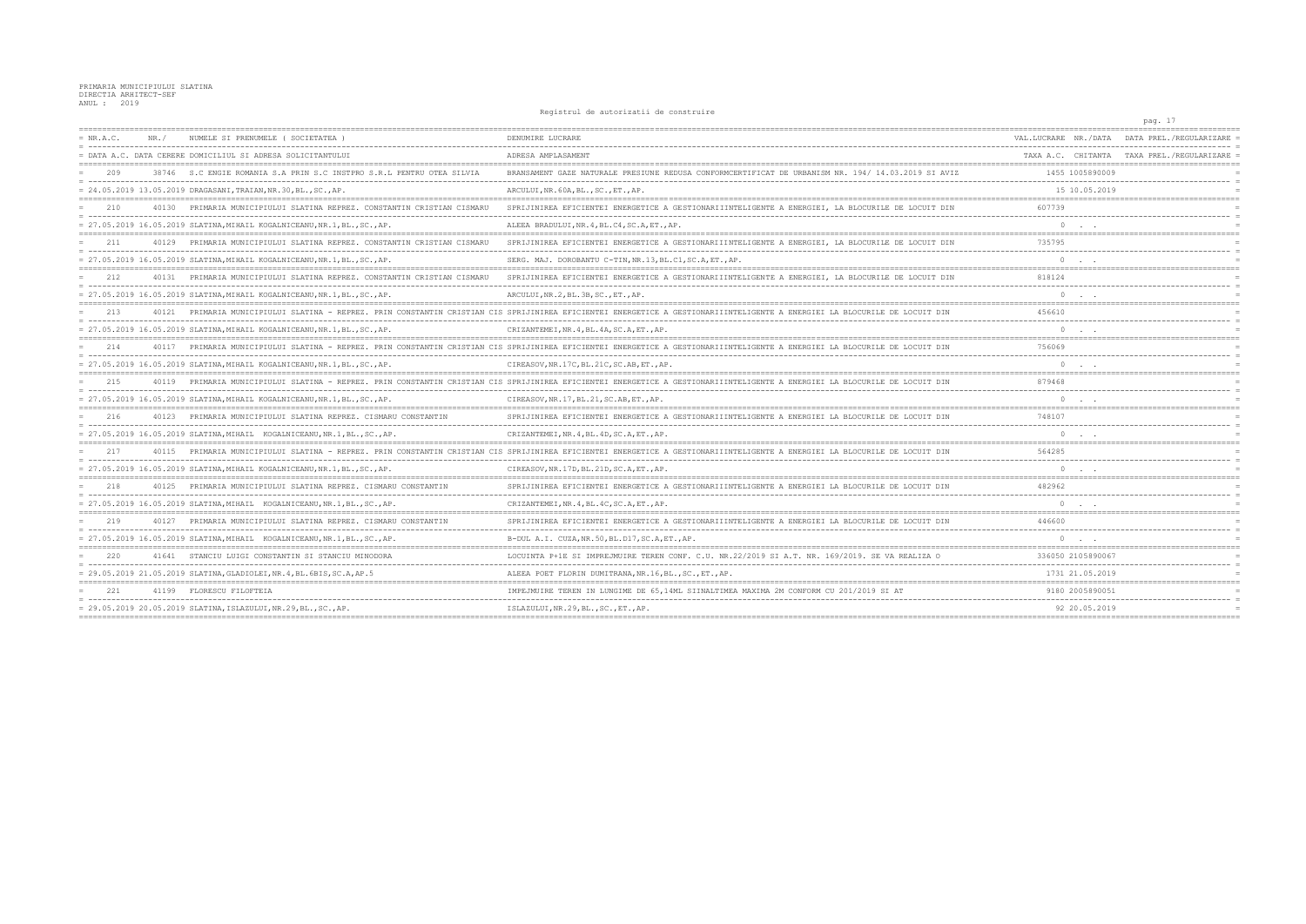|             |       |                                                                                                                                 | nogrocraf at adoptination at comporate                                                                                                                                      |                      | pag. 17                                    |
|-------------|-------|---------------------------------------------------------------------------------------------------------------------------------|-----------------------------------------------------------------------------------------------------------------------------------------------------------------------------|----------------------|--------------------------------------------|
| $= NR.A.C.$ | NR. / | NUMELE SI PRENUMELE ( SOCIETATEA                                                                                                | DENUMIRE LUCRARE                                                                                                                                                            | VAL.LUCRARE NR./DATA | DATA PREL./REGULARIZARE                    |
|             |       | = DATA A.C. DATA CERERE DOMICILIUL SI ADRESA SOLICITANTULUI                                                                     | ADRESA AMPLASAMENT                                                                                                                                                          |                      | TAXA A.C. CHITANTA TAXA PREL./REGULARIZARE |
| 209         |       | 38746 S.C ENGIE ROMANIA S.A PRIN S.C INSTPRO S.R.L PENTRU OTEA SILVIA                                                           | BRANSAMENT GAZE NATURALE PRESIUNE REDUSA CONFORMCERTIFICAT DE URBANISM NR. 194/ 14.03.2019 SI AVIZ                                                                          | 1455 1005890009      |                                            |
|             |       | = 24.05.2019 13.05.2019 DRAGASANI, TRAIAN, NR.30, BL., SC., AP.                                                                 | ARCULUI, NR. 60A, BL., SC., ET., AP.                                                                                                                                        | 15 10.05.2019        |                                            |
| 210         | 40130 | PRIMARIA MUNICIPIULUI SLATINA REPREZ. CONSTANTIN CRISTIAN CISMARU                                                               | SPRIJINIREA EFICIENTEI ENERGETICE A GESTIONARIIINTELIGENTE A ENERGIEI, LA BLOCURILE DE LOCUIT DIN                                                                           | 607739               |                                            |
|             |       | = 27.05.2019 16.05.2019 SLATINA, MIHAIL KOGALNICEANU, NR.1, BL., SC., AP.                                                       | ALEEA BRADULUI, NR. 4, BL. C4, SC. A, ET., AP.                                                                                                                              | $\Omega$             |                                            |
| 211         | 40129 | PRIMARIA MUNICIPIULUI SLATINA REPREZ. CONSTANTIN CRISTIAN CISMARU                                                               | SPRIJINIREA EFICIENTEI ENERGETICE A GESTIONARIIINTELIGENTE A ENERGIEI, LA BLOCURILE DE LOCUIT DIN                                                                           | 735795               |                                            |
|             |       | = 27.05.2019 16.05.2019 SLATINA, MIHAIL KOGALNICEANU, NR.1, BL., SC., AP.                                                       | SERG. MAJ. DOROBANTU C-TIN, NR. 13, BL. C1, SC. A, ET., AP.                                                                                                                 |                      |                                            |
| 212         |       | 40131 PRIMARIA MUNICIPIULUI SLATINA REPREZ. CONSTANTIN CRISTIAN CISMARU                                                         | SPRIJINIREA EFICIENTEI ENERGETICE A GESTIONARIIINTELIGENTE A ENERGIEI, LA BLOCURILE DE LOCUIT DIN                                                                           | 818124               |                                            |
|             |       | = 27.05.2019 16.05.2019 SLATINA, MIHAIL KOGALNICEANU, NR.1, BL., SC., AP                                                        | ARCULUI, NR.2, BL.3B, SC., ET., AP.                                                                                                                                         |                      |                                            |
| 213         |       |                                                                                                                                 | 40121 PRIMARIA MUNICIPIULUI SLATINA - REPREZ. PRIN CONSTANTIN CRISTIAN CIS SPRIJINIREA EFICIENTEI ENERGETICE A GESTIONARIIINTELIGENTE A ENERGIEI LA BLOCURILE DE LOCUIT DIN | 456610               |                                            |
|             |       | = 27.05.2019 16.05.2019 SLATINA, MIHAIL KOGALNICEANU, NR.1, BL., SC., AP.                                                       | CRIZANTEMEI, NR. 4, BL. 4A, SC. A, ET., AP.                                                                                                                                 | $\Omega$             |                                            |
| 214         | 40117 |                                                                                                                                 | PRIMARIA MUNICIPIULUI SLATINA - REPREZ, PRIN CONSTANTIN CRISTIAN CIS SPRIJINIREA EFICIENTEI ENERGETICE A GESTIONARIIINTELIGENTE A ENERGIEI LA BLOCURILE DE LOCUIT DIN       | 756069               |                                            |
|             |       | = 27.05.2019 16.05.2019 SLATINA, MIHAIL KOGALNICEANU, NR.1, BL., SC., AP.                                                       | CIREASOV, NR. 17C, BL. 21C, SC. AB, ET., AP.                                                                                                                                |                      |                                            |
| 215         | 40119 | PRIMARIA MUNICIPIULUI SLATINA - REPREZ. PRIN CONSTANTIN CRISTIAN CIS SPRIJINIREA EFICIENTEI ENERGETICE A GESTIONARIIINTELIGENTE |                                                                                                                                                                             | 879468               |                                            |
|             |       | = 27.05.2019 16.05.2019 SLATINA, MIHAIL KOGALNICEANU, NR.1, BL., SC., AP.                                                       | CIREASOV, NR. 17, BL. 21, SC. AB, ET., AP.                                                                                                                                  | $\Omega$             |                                            |
| 216         |       | 40123 PRIMARIA MUNICIPIULUI SLATINA REPREZ. CISMARU CONSTANTIN                                                                  | SPRIJINIREA EFICIENTEI ENERGETICE A GESTIONARIIINTELIGENTE A ENERGIEI LA BLOCURILE DE LOCUIT DIN                                                                            | 748107               |                                            |
|             |       | = 27.05.2019 16.05.2019 SLATINA, MIHAIL KOGALNICEANU, NR.1, BL., SC., AP.                                                       | CRIZANTEMEI, NR. 4, BL. 4D, SC. A, ET., AP.                                                                                                                                 | $\circ$              |                                            |
| 2.17        |       |                                                                                                                                 | 40115 PRIMARIA MUNICIPIULUI SLATINA - REPREZ. PRIN CONSTANTIN CRISTIAN CIS SPRIJINIREA EFICIENTEI ENERGETICE A GESTIONARIIINTELIGENTE A ENERGIEI LA BLOCURILE DE LOCUIT DIN | 564285               |                                            |
|             |       | = 27.05.2019 16.05.2019 SLATINA, MIHAIL KOGALNICEANU, NR.1, BL., SC., AP.                                                       | CIREASOV, NR. 17D, BL. 21D, SC. A, ET., AP.                                                                                                                                 |                      |                                            |
| 218         |       | 40125 PRIMARIA MUNICIPIULUI SLATINA REPREZ. CISMARU CONSTANTIN                                                                  | SPRIJINIREA EFICIENTEI ENERGETICE A GESTIONARIIINTELIGENTE A ENERGIEI LA BLOCURILE DE LOCUIT DIN                                                                            | 482962               |                                            |
|             |       | = 27.05.2019 16.05.2019 SLATINA, MIHAIL KOGALNICEANU, NR.1, BL., SC., AP.                                                       | CRIZANTEMEI, NR. 4, BL. 4C, SC. A, ET., AP.                                                                                                                                 |                      |                                            |
| 219         | 40127 | PRIMARIA MUNICIPIULUI SLATINA REPREZ. CISMARU CONSTANTIN                                                                        | SPRIJINIREA EFICIENTEI ENERGETICE A GESTIONARIIINTELIGENTE A ENERGIEI LA BLOCURILE DE LOCUIT DIN                                                                            | 446600               |                                            |
|             |       | = 27.05.2019 16.05.2019 SLATINA, MIHAIL KOGALNICEANU, NR.1, BL., SC., AP                                                        | B-DUL A.I. CUZA, NR.50, BL.D17, SC.A, ET., AP.                                                                                                                              |                      |                                            |
| 220         | 41641 | STANCIU LUIGI CONSTANTIN SI STANCIU MINODORA                                                                                    | LOCUINTA P+1E SI IMPREJMUIRE TEREN CONF. C.U. NR.22/2019 SI A.T. NR. 169/2019. SE                                                                                           | 336050 2105890067    |                                            |
|             |       | = 29.05.2019 21.05.2019 SLATINA, GLADIOLEI, NR.4, BL.6BIS, SC.A, AP.5                                                           | ALEEA POET FLORIN DUMITRANA.NR.16.BLSCETAP.                                                                                                                                 | 1731 21.05.2019      |                                            |
| 221         |       | 41199 FLORESCU FILOFTEIA                                                                                                        | IMPEJMUIRE TEREN IN LUNGIME DE 65,14ML SIINALTIMEA MAXIMA 2M CONFORM CU                                                                                                     | 9180 2005890051      |                                            |
|             |       | = 29.05.2019 20.05.2019 SLATINA, ISLAZULUI, NR.29, BL., SC., AP.                                                                | ISLAZULUI, NR.29, BL., SC., ET., AP.                                                                                                                                        | 92 20.05.2019        |                                            |